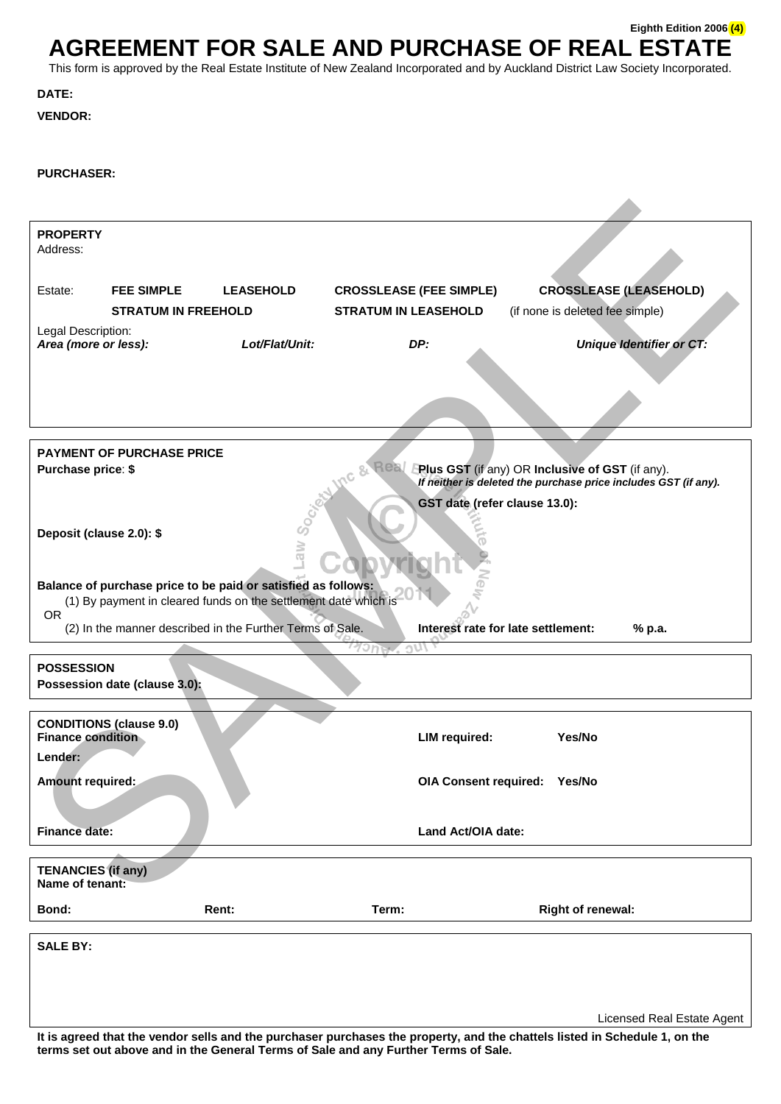# **Eighth Edition 2006 (4) AGREEMENT FOR SALE AND PURCHASE OF REAL ESTATE**

This form is approved by the Real Estate Institute of New Zealand Incorporated and by Auckland District Law Society Incorporated.

**DATE:** 

**VENDOR:** 

## **PURCHASER:**

| <b>PROPERTY</b>                              |                                  |                                                                                                                                  |                             |                                |                                                                 |
|----------------------------------------------|----------------------------------|----------------------------------------------------------------------------------------------------------------------------------|-----------------------------|--------------------------------|-----------------------------------------------------------------|
| Address:                                     |                                  |                                                                                                                                  |                             |                                |                                                                 |
| Estate:                                      | <b>FEE SIMPLE</b>                | <b>LEASEHOLD</b>                                                                                                                 |                             | <b>CROSSLEASE (FEE SIMPLE)</b> | <b>CROSSLEASE (LEASEHOLD)</b>                                   |
|                                              | <b>STRATUM IN FREEHOLD</b>       |                                                                                                                                  | <b>STRATUM IN LEASEHOLD</b> |                                | (if none is deleted fee simple)                                 |
| Legal Description:<br>Area (more or less):   |                                  | Lot/Flat/Unit:                                                                                                                   |                             | DP:                            | Unique Identifier or CT:                                        |
|                                              |                                  |                                                                                                                                  |                             |                                |                                                                 |
|                                              |                                  |                                                                                                                                  |                             |                                |                                                                 |
|                                              |                                  |                                                                                                                                  |                             |                                |                                                                 |
|                                              |                                  |                                                                                                                                  |                             |                                |                                                                 |
| Purchase price: \$                           | <b>PAYMENT OF PURCHASE PRICE</b> |                                                                                                                                  |                             |                                | Plus GST (if any) OR Inclusive of GST (if any).                 |
|                                              |                                  |                                                                                                                                  |                             |                                | If neither is deleted the purchase price includes GST (if any). |
|                                              |                                  |                                                                                                                                  |                             | GST date (refer clause 13.0):  |                                                                 |
| Deposit (clause 2.0): \$                     |                                  | aw                                                                                                                               |                             |                                |                                                                 |
|                                              |                                  |                                                                                                                                  |                             |                                |                                                                 |
|                                              |                                  | Balance of purchase price to be paid or satisfied as follows:<br>(1) By payment in cleared funds on the settlement date which is |                             |                                |                                                                 |
| <b>OR</b>                                    |                                  |                                                                                                                                  |                             |                                |                                                                 |
|                                              |                                  | (2) In the manner described in the Further Terms of Sale.                                                                        |                             |                                | Interest rate for late settlement:<br>% p.a.                    |
| <b>POSSESSION</b>                            |                                  |                                                                                                                                  |                             |                                |                                                                 |
|                                              | Possession date (clause 3.0):    |                                                                                                                                  |                             |                                |                                                                 |
|                                              | <b>CONDITIONS (clause 9.0)</b>   |                                                                                                                                  |                             |                                |                                                                 |
| <b>Finance condition</b>                     |                                  |                                                                                                                                  |                             | <b>LIM</b> required:           | Yes/No                                                          |
| Lender:<br>Amount required:                  |                                  |                                                                                                                                  |                             |                                | OIA Consent required: Yes/No                                    |
|                                              |                                  |                                                                                                                                  |                             |                                |                                                                 |
| <b>Finance date:</b>                         |                                  |                                                                                                                                  |                             | Land Act/OIA date:             |                                                                 |
|                                              |                                  |                                                                                                                                  |                             |                                |                                                                 |
| <b>TENANCIES</b> (if any)<br>Name of tenant: |                                  |                                                                                                                                  |                             |                                |                                                                 |
| Bond:                                        |                                  | Rent:                                                                                                                            | Term:                       |                                | <b>Right of renewal:</b>                                        |
| <b>SALE BY:</b>                              |                                  |                                                                                                                                  |                             |                                |                                                                 |
|                                              |                                  |                                                                                                                                  |                             |                                |                                                                 |
|                                              |                                  |                                                                                                                                  |                             |                                |                                                                 |
|                                              |                                  |                                                                                                                                  |                             |                                | Licensed Real Estate Agent                                      |
|                                              |                                  |                                                                                                                                  |                             |                                |                                                                 |

**It is agreed that the vendor sells and the purchaser purchases the property, and the chattels listed in Schedule 1, on the terms set out above and in the General Terms of Sale and any Further Terms of Sale.**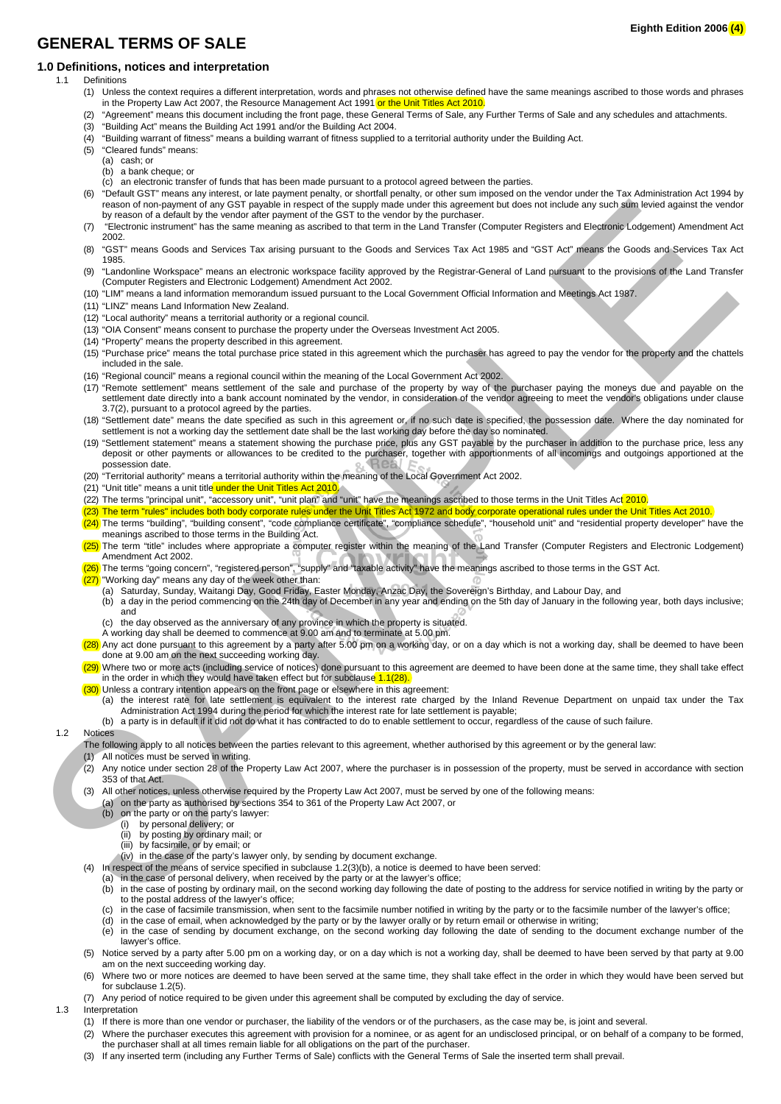## **GENERAL TERMS OF SALE**

### **1.0 Definitions, notices and interpretation**

- 1.1 Definitions
	- (1) Unless the context requires a different interpretation, words and phrases not otherwise defined have the same meanings ascribed to those words and phrases in the Property Law Act 2007, the Resource Management Act 1991 or the Unit Titles Act 2010
	- (2) "Agreement" means this document including the front page, these General Terms of Sale, any Further Terms of Sale and any schedules and attachments.
	- (3) "Building Act" means the Building Act 1991 and/or the Building Act 2004.
	- (4) "Building warrant of fitness" means a building warrant of fitness supplied to a territorial authority under the Building Act.
	- (5) "Cleared funds" means:
		- (a) cash; or
		- (b) a bank cheque; or
	- $\overline{c}$  an electronic transfer of funds that has been made pursuant to a protocol agreed between the parties.
	- (6) "Default GST" means any interest, or late payment penalty, or shortfall penalty, or other sum imposed on the vendor under the Tax Administration Act 1994 by reason of non-payment of any GST payable in respect of the supply made under this agreement but does not include any such sum levied against the vendor by reason of a default by the vendor after payment of the GST to the vendor by the purchaser.
	- (7) "Electronic instrument" has the same meaning as ascribed to that term in the Land Transfer (Computer Registers and Electronic Lodgement) Amendment Act 2002.
	- (8) "GST" means Goods and Services Tax arising pursuant to the Goods and Services Tax Act 1985 and "GST Act" means the Goods and Services Tax Act 1985.
	- (9) "Landonline Workspace" means an electronic workspace facility approved by the Registrar-General of Land pursuant to the provisions of the Land Transfer (Computer Registers and Electronic Lodgement) Amendment Act 2002.
	- (10) "LIM" means a land information memorandum issued pursuant to the Local Government Official Information and Meetings Act 1987.
	- (11) "LINZ" means Land Information New Zealand.
	- (12) "Local authority" means a territorial authority or a regional council.
	- (13) "OIA Consent" means consent to purchase the property under the Overseas Investment Act 2005.
	- (14) "Property" means the property described in this agreement.
	- (15) "Purchase price" means the total purchase price stated in this agreement which the purchaser has agreed to pay the vendor for the property and the chattels included in the sale.
	- (16) "Regional council" means a regional council within the meaning of the Local Government Act 2002.
	- (17) "Remote settlement" means settlement of the sale and purchase of the property by way of the purchaser paying the moneys due and payable on the settlement date directly into a bank account nominated by the vendor, in consideration of the vendor agreeing to meet the vendor's obligations under clause 3.7(2), pursuant to a protocol agreed by the parties.
	- (18) "Settlement date" means the date specified as such in this agreement or, if no such date is specified, the possession date. Where the day nominated for settlement is not a working day the settlement date shall be the last working day before the day so nominated.
- (19) "Settlement statement" means a statement showing the purchase price, plus any GST payable by the purchaser in addition to the purchase price, less any deposit or other payments or allowances to be credited to the purchaser, together with apportionments of all incomings and outgoings apportioned at the possession date. SAMPLE TRANSPORT INTO THE CONTINUES IN A CONTINUES IN A CONTINUES IN A CONTINUES IN A CONTINUES IN A CONTINUES IN A CONTINUES IN A CONTINUES IN A CONTINUES IN A CONTINUES IN A CONTINUES IN A CONTINUES IN A CONTINUES IN A
	- (20) "Territorial authority" means a territorial authority within the meaning of the Local Government Act 2002.
	- (21) "Unit title" means a unit title under the Unit Titles Act 2010
	- (22) The terms "principal unit", "accessory unit", "unit plan" and "unit" have the meanings ascribed to those terms in the Unit Titles Act 2010.
	- (23) The term "rules" includes both body corporate rules under the Unit Titles Act 1972 and body corporate operational rules under the Unit Titles Act 2010.
	- (24) The terms "building", "building consent", "code compliance certificate", "compliance schedule", "household unit" and "residential property developer" have the meanings ascribed to those terms in the Building Act.
	- (25) The term "title" includes where appropriate a computer register within the meaning of the Land Transfer (Computer Registers and Electronic Lodgement) Amendment Act 2002.
	- (26) The terms "going concern", "registered person", "supply" and "taxable activity" have the meanings ascribed to those terms in the GST Act.
	- (27) "Working day" means any day of the week other than:
		- (a) Saturday, Sunday, Waitangi Day, Good Friday, Easter Monday, Anzac Day, the Sovereign's Birthday, and Labour Day, and
		- (b) a day in the period commencing on the 24th day of December in any year and ending on the 5th day of January in the following year, both days inclusive; and
		- (c) the day observed as the anniversary of any province in which the property is situated.
		- A working day shall be deemed to commence at 9.00 am and to terminate at 5.00 pm.
	- (28) Any act done pursuant to this agreement by a party after 5.00 pm on a working day, or on a day which is not a working day, shall be deemed to have been done at 9.00 am on the next succeeding working day.
	- (29) Where two or more acts (including service of notices) done pursuant to this agreement are deemed to have been done at the same time, they shall take effect in the order in which they would have taken effect but for subclause 1.1(28).
	- (30) Unless a contrary intention appears on the front page or elsewhere in this agreement:
		- (a) the interest rate for late settlement is equivalent to the interest rate charged by the Inland Revenue Department on unpaid tax under the Tax Administration Act 1994 during the period for which the interest rate for late settlement is payable;
		- (b) a party is in default if it did not do what it has contracted to do to enable settlement to occur, regardless of the cause of such failure.

1.2 Notices

The following apply to all notices between the parties relevant to this agreement, whether authorised by this agreement or by the general law:

- (1) All notices must be served in writing.
- (2) Any notice under section 28 of the Property Law Act 2007, where the purchaser is in possession of the property, must be served in accordance with section 353 of that Act.
- (3) All other notices, unless otherwise required by the Property Law Act 2007, must be served by one of the following means:
	- (a) on the party as authorised by sections 354 to 361 of the Property Law Act 2007, or
	- (b) on the party or on the party's lawyer:
	- (i) by personal delivery; or
		- by posting by ordinary mail; or
		- (iii) by facsimile, or by email; or
	- (iv) in the case of the party's lawyer only, by sending by document exchange.
- (4) In respect of the means of service specified in subclause 1.2(3)(b), a notice is deemed to have been served:
	- (a) in the case of personal delivery, when received by the party or at the lawyer's office;
	- (b) in the case of posting by ordinary mail, on the second working day following the date of posting to the address for service notified in writing by the party or to the postal address of the lawyer's office;
	- (c) in the case of facsimile transmission, when sent to the facsimile number notified in writing by the party or to the facsimile number of the lawyer's office;
	- (d) in the case of email, when acknowledged by the party or by the lawyer orally or by return email or otherwise in writing;
	- (e) in the case of sending by document exchange, on the second working day following the date of sending to the document exchange number of the lawyer's office.
- (5) Notice served by a party after 5.00 pm on a working day, or on a day which is not a working day, shall be deemed to have been served by that party at 9.00 am on the next succeeding working day.
- (6) Where two or more notices are deemed to have been served at the same time, they shall take effect in the order in which they would have been served but for subclause 1.2(5).
- (7) Any period of notice required to be given under this agreement shall be computed by excluding the day of service.
- 1.3 Interpretation
	- (1) If there is more than one vendor or purchaser, the liability of the vendors or of the purchasers, as the case may be, is joint and several.
	- (2) Where the purchaser executes this agreement with provision for a nominee, or as agent for an undisclosed principal, or on behalf of a company to be formed, the purchaser shall at all times remain liable for all obligations on the part of the purchaser.
	- (3) If any inserted term (including any Further Terms of Sale) conflicts with the General Terms of Sale the inserted term shall prevail.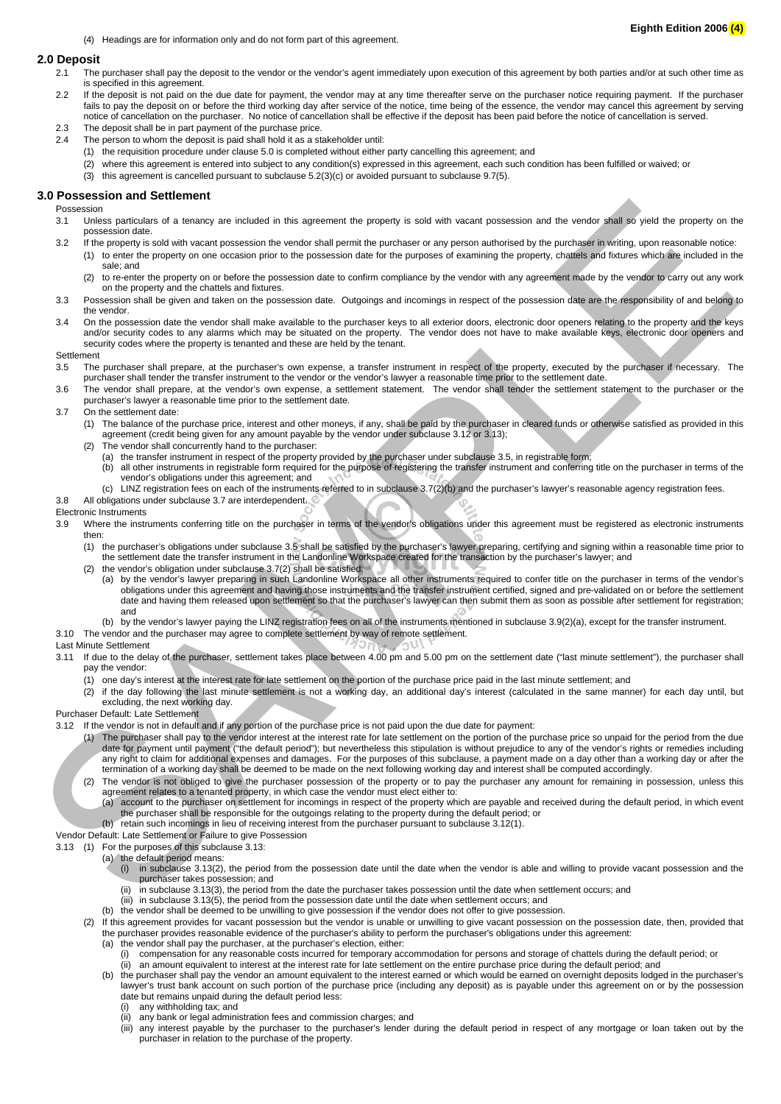(4) Headings are for information only and do not form part of this agreement.

#### **2.0 Deposit**

- 2.1 The purchaser shall pay the deposit to the vendor or the vendor's agent immediately upon execution of this agreement by both parties and/or at such other time as is specified in this agreement.
- 2.2 If the deposit is not paid on the due date for payment, the vendor may at any time thereafter serve on the purchaser notice requiring payment. If the purchaser fails to pay the deposit on or before the third working day after service of the notice, time being of the essence, the vendor may cancel this agreement by serving notice of cancellation on the purchaser. No notice of cancellation shall be effective if the deposit has been paid before the notice of cancellation is served.
- 2.3 The deposit shall be in part payment of the purchase price.
- 2.4 The person to whom the deposit is paid shall hold it as a stakeholder until:
	- (1) the requisition procedure under clause 5.0 is completed without either party cancelling this agreement; and
	- (2) where this agreement is entered into subject to any condition(s) expressed in this agreement, each such condition has been fulfilled or waived; or
	- (3) this agreement is cancelled pursuant to subclause 5.2(3)(c) or avoided pursuant to subclause 9.7(5).

#### **3.0 Possession and Settlement**

#### Possession

- 3.1 Unless particulars of a tenancy are included in this agreement the property is sold with vacant possession and the vendor shall so yield the property on the possession date.
- 3.2 If the property is sold with vacant possession the vendor shall permit the purchaser or any person authorised by the purchaser in writing, upon reasonable notice:
	- (1) to enter the property on one occasion prior to the possession date for the purposes of examining the property, chattels and fixtures which are included in the sale; and
		- (2) to re-enter the property on or before the possession date to confirm compliance by the vendor with any agreement made by the vendor to carry out any work on the property and the chattels and fixtures.
- 3.3 Possession shall be given and taken on the possession date. Outgoings and incomings in respect of the possession date are the responsibility of and belong to the vendor.
- 3.4 On the possession date the vendor shall make available to the purchaser keys to all exterior doors, electronic door openers relating to the property and the keys and/or security codes to any alarms which may be situated on the property. The vendor does not have to make available keys, electronic door openers and security codes where the property is tenanted and these are held by the tenant.
- **Settlement**
- 3.5 The purchaser shall prepare, at the purchaser's own expense, a transfer instrument in respect of the property, executed by the purchaser if necessary. The purchaser shall tender the transfer instrument to the vendor or the vendor's lawyer a reasonable time prior to the settlement date.
- 3.6 The vendor shall prepare, at the vendor's own expense, a settlement statement. The vendor shall tender the settlement statement to the purchaser or the purchaser's lawyer a reasonable time prior to the settlement date.
- 3.7 On the settlement date:
	- (1) The balance of the purchase price, interest and other moneys, if any, shall be paid by the purchaser in cleared funds or otherwise satisfied as provided in this agreement (credit being given for any amount payable by the vendor under subclause 3.12 or 3.13);
	- (2) The vendor shall concurrently hand to the purchaser:
		- (a) the transfer instrument in respect of the property provided by the purchaser under subclause 3.5, in registrable form; (b) all other instruments in registrable form required for the purpose of registering the transfer instrument and conferring title on the purchaser in terms of the
		- vendor's obligations under this agreement; and (c) LINZ registration fees on each of the instruments referred to in subclause 3.7(2)(b) and the purchaser's lawyer's reasonable agency registration fees.
- 3.8 All obligations under subclause 3.7 are interdependent.
- Electronic Instruments<br>3.9 Where the instr
- Where the instruments conferring title on the purchaser in terms of the vendor's obligations under this agreement must be registered as electronic instruments then:
	- (1) the purchaser's obligations under subclause 3.5 shall be satisfied by the purchaser's lawyer preparing, certifying and signing within a reasonable time prior to the settlement date the transfer instrument in the Landonline Workspace created for the transaction by the purchaser's lawyer; and
	- (2) the vendor's obligation under subclause 3.7(2) shall be satisfied:
		- (a) by the vendor's lawyer preparing in such Landonline Workspace all other instruments required to confer title on the purchaser in terms of the vendor's obligations under this agreement and having those instruments and the transfer instrument certified, signed and pre-validated on or before the settlement date and having them released upon settlement so that the purchaser's lawyer can then submit them as soon as possible after settlement for registration; and
	- (b) by the vendor's lawyer paying the LINZ registration fees on all of the instruments mentioned in subclause 3.9(2)(a), except for the transfer instrument.
- 3.10 The vendor and the purchaser may agree to complete settlement by way of remote settlement.
- Last Minute Settlement
- 3.11 If due to the delay of the purchaser, settlement takes place between 4.00 pm and 5.00 pm on the settlement date ("last minute settlement"), the purchaser shall pay the vendor:
	- (1) one day's interest at the interest rate for late settlement on the portion of the purchase price paid in the last minute settlement; and
		- (2) if the day following the last minute settlement is not a working day, an additional day's interest (calculated in the same manner) for each day until, but excluding, the next working day.
- Purchaser Default: Late Settlement
- 3.12 If the vendor is not in default and if any portion of the purchase price is not paid upon the due date for payment:
- (1) The purchaser shall pay to the vendor interest at the interest rate for late settlement on the portion of the purchase price so unpaid for the period from the due date for payment until payment ("the default period"); but nevertheless this stipulation is without prejudice to any of the vendor's rights or remedies including any right to claim for additional expenses and damages. For the purposes of this subclause, a payment made on a day other than a working day or after the termination of a working day shall be deemed to be made on the next following working day and interest shall be computed accordingly. A This painter of the symptomistic interpretation of the symptomistic interpretation of the symptomistic interpretation of the symptomistic interpretation of the symptomistic interpretation of the symptomistic interpretat
	- (2) The vendor is not obliged to give the purchaser possession of the property or to pay the purchaser any amount for remaining in possession, unless this agreement relates to a tenanted property, in which case the vendor must elect either to: (a) account to the purchaser on settlement for incomings in respect of the property which are payable and received during the default period, in which event
		- the purchaser shall be responsible for the outgoings relating to the property during the default period; or (b) retain such incomings in lieu of receiving interest from the purchaser pursuant to subclause 3.12(1).
	-
	- Vendor Default: Late Settlement or Failure to give Possession
	- 3.13 (1) For the purposes of this subclause 3.13:
		- (a) the default period means:<br>(i) in subclause  $3.13(2)$ in subclause 3.13(2), the period from the possession date until the date when the vendor is able and willing to provide vacant possession and the purchaser takes possession; and
			- (ii) in subclause 3.13(3), the period from the date the purchaser takes possession until the date when settlement occurs; and
			- (iii) in subclause 3.13(5), the period from the possession date until the date when settlement occurs; and
		- (b) the vendor shall be deemed to be unwilling to give possession if the vendor does not offer to give possession.
		- If this agreement provides for vacant possession but the vendor is unable or unwilling to give vacant possession on the possession date, then, provided that the purchaser provides reasonable evidence of the purchaser's ability to perform the purchaser's obligations under this agreement:
			- (a) the vendor shall pay the purchaser, at the purchaser's election, either:
				- (i) compensation for any reasonable costs incurred for temporary accommodation for persons and storage of chattels during the default period; or
			- (ii) an amount equivalent to interest at the interest rate for late settlement on the entire purchase price during the default period; and (b) the purchaser shall pay the vendor an amount equivalent to the interest earned or which would be earned on overnight deposits lodged in the purchaser's
			- lawyer's trust bank account on such portion of the purchase price (including any deposit) as is payable under this agreement on or by the possession date but remains unpaid during the default period less:
				- any withholding tax; and
				- (ii) any bank or legal administration fees and commission charges; and
				- (iii) any interest payable by the purchaser to the purchaser's lender during the default period in respect of any mortgage or loan taken out by the purchaser in relation to the purchase of the property.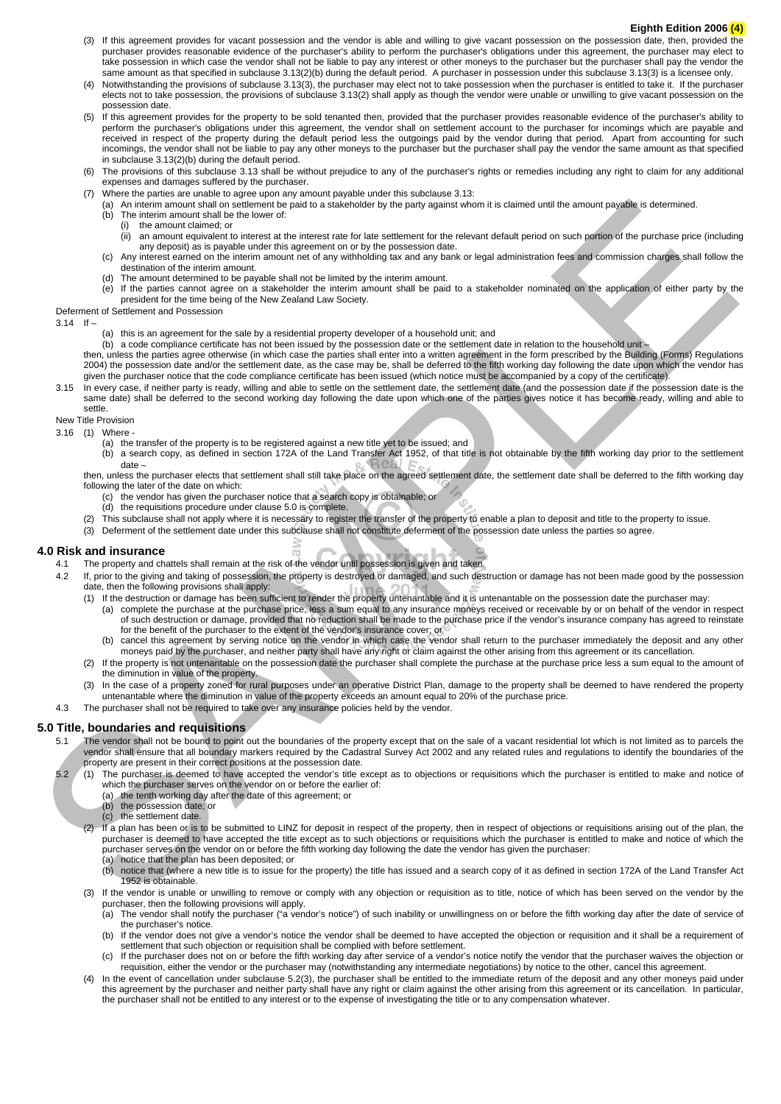#### **Eighth Edition 2006 (4)**

- (3) If this agreement provides for vacant possession and the vendor is able and willing to give vacant possession on the possession date, then, provided the purchaser provides reasonable evidence of the purchaser's ability to perform the purchaser's obligations under this agreement, the purchaser may elect to take possession in which case the vendor shall not be liable to pay any interest or other moneys to the purchaser but the purchaser shall pay the vendor the same amount as that specified in subclause 3.13(2)(b) during the default period. A purchaser in possession under this subclause 3.13(3) is a licensee only.
- (4) Notwithstanding the provisions of subclause 3.13(3), the purchaser may elect not to take possession when the purchaser is entitled to take it. If the purchaser elects not to take possession, the provisions of subclause 3.13(2) shall apply as though the vendor were unable or unwilling to give vacant possession on the possession date.
- (5) If this agreement provides for the property to be sold tenanted then, provided that the purchaser provides reasonable evidence of the purchaser's ability to perform the purchaser's obligations under this agreement, the vendor shall on settlement account to the purchaser for incomings which are payable and received in respect of the property during the default period less the outgoings paid by the vendor during that period. Apart from accounting for such incomings, the vendor shall not be liable to pay any other moneys to the purchaser but the purchaser shall pay the vendor the same amount as that specified in subclause 3.13(2)(b) during the default period.
- The provisions of this subclause 3.13 shall be without prejudice to any of the purchaser's rights or remedies including any right to claim for any additional expenses and damages suffered by the purchaser.
- (7) Where the parties are unable to agree upon any amount payable under this subclause 3.13:
	- (a) An interim amount shall on settlement be paid to a stakeholder by the party against whom it is claimed until the amount payable is determined.
	- (b) The interim amount shall be the lower of:
		- (i) the amount claimed; or<br>(ii) an amount equivalent to an amount equivalent to interest at the interest rate for late settlement for the relevant default period on such portion of the purchase price (including any deposit) as is payable under this agreement on or by the possession date.
	- (c) Any interest earned on the interim amount net of any withholding tax and any bank or legal administration fees and commission charges shall follow the destination of the interim amount.
	- (d) The amount determined to be payable shall not be limited by the interim amount.
	- (e) If the parties cannot agree on a stakeholder the interim amount shall be paid to a stakeholder nominated on the application of either party by the president for the time being of the New Zealand Law Society.

#### Deferment of Settlement and Possession

- 3.14 If –
- (a) this is an agreement for the sale by a residential property developer of a household unit; and
- (b) a code compliance certificate has not been issued by the possession date or the settlement date in relation to the household unit then, unless the parties agree otherwise (in which case the parties shall enter into a written agreement in the form prescribed by the Building (Forms) Regulations 2004) the possession date and/or the settlement date, as the case may be, shall be deferred to the fifth working day following the date upon which the vendor has
- given the purchaser notice that the code compliance certificate has been issued (which notice must be accompanied by a copy of the certificate).
- 3.15 In every case, if neither party is ready, willing and able to settle on the settlement date, the settlement date (and the possession date if the possession date is the same date) shall be deferred to the second working day following the date upon which one of the parties gives notice it has become ready, willing and able to settle.
- New Title Provision
- 3.16 (1) Where
	- (a) the transfer of the property is to be registered against a new title yet to be issued; and
	- (b) a search copy, as defined in section 172A of the Land Transfer Act 1952, of that title is not obtainable by the fifth working day prior to the settlement date –

then, unless the purchaser elects that settlement shall still take place on the agreed settlement date, the settlement date shall be deferred to the fifth working day following the later of the date on which:

- (c) the vendor has given the purchaser notice that a search copy is obtainable; or
- (d) the requisitions procedure under clause 5.0 is complete.
- (2) This subclause shall not apply where it is necessary to register the transfer of the property to enable a plan to deposit and title to the property to issue.
- (3) Deferment of the settlement date under this subclause shall not constitute deferment of the possession date unless the parties so agree.

#### **4.0 Risk and insurance**

- 4.1 The property and chattels shall remain at the risk of the vendor until possession is given and taken.
- 4.2 If, prior to the giving and taking of possession, the property is destroyed or damaged, and such destruction or damage has not been made good by the possession date, then the following provisions shall apply:
	- (1) If the destruction or damage has been sufficient to render the property untenantable and it is untenantable on the possession date the purchaser may:
		- (a) complete the purchase at the purchase price, less a sum equal to any insurance moneys received or receivable by or on behalf of the vendor in respect of such destruction or damage, provided that no reduction shall be made to the purchase price if the vendor's insurance company has agreed to reinstate for the benefit of the purchaser to the extent of the vendor's insurance cover; or
		- (b) cancel this agreement by serving notice on the vendor in which case the vendor shall return to the purchaser immediately the deposit and any other moneys paid by the purchaser, and neither party shall have any right or claim against the other arising from this agreement or its cancellation.
	- (2) If the property is not untenantable on the possession date the purchaser shall complete the purchase at the purchase price less a sum equal to the amount of the diminution in value of the property.
	- (3) In the case of a property zoned for rural purposes under an operative District Plan, damage to the property shall be deemed to have rendered the property untenantable where the diminution in value of the property exceeds an amount equal to 20% of the purchase price.
- 4.3 The purchaser shall not be required to take over any insurance policies held by the vendor.

#### **5.0 Title, boundaries and requisitions**

- 5.1 The vendor shall not be bound to point out the boundaries of the property except that on the sale of a vacant residential lot which is not limited as to parcels the vendor shall ensure that all boundary markers required by the Cadastral Survey Act 2002 and any related rules and regulations to identify the boundaries of the property are present in their correct positions at the possession date.
- 5.2 (1) The purchaser is deemed to have accepted the vendor's title except as to objections or requisitions which the purchaser is entitled to make and notice of which the purchaser serves on the vendor on or before the earlier of:
	- (a) the tenth working day after the date of this agreement; or
	- (b) the possession date; or
	- (c) the settlement date.
- (2) If a plan has been or is to be submitted to LINZ for deposit in respect of the property, then in respect of objections or requisitions arising out of the plan, the purchaser is deemed to have accepted the title except as to such objections or requisitions which the purchaser is entitled to make and notice of which the purchaser serves on the vendor on or before the fifth working day following the date the vendor has given the purchaser: (a) notice that the plan has been deposited; or The main of the state of the state of the state of the state of the state of the state of the state of the state of the state of the state of the state of the state of the state of the state of the state of the state of t
	- (b) notice that (where a new title is to issue for the property) the title has issued and a search copy of it as defined in section 172A of the Land Transfer Act 1952 is obtainable.
	- (3) If the vendor is unable or unwilling to remove or comply with any objection or requisition as to title, notice of which has been served on the vendor by the purchaser, then the following provisions will apply.
		- (a) The vendor shall notify the purchaser ("a vendor's notice") of such inability or unwillingness on or before the fifth working day after the date of service of the purchaser's notice.
		- (b) If the vendor does not give a vendor's notice the vendor shall be deemed to have accepted the objection or requisition and it shall be a requirement of settlement that such objection or requisition shall be complied with before settlement.
		- (c) If the purchaser does not on or before the fifth working day after service of a vendor's notice notify the vendor that the purchaser waives the objection or requisition, either the vendor or the purchaser may (notwithstanding any intermediate negotiations) by notice to the other, cancel this agreement.
	- In the event of cancellation under subclause 5.2(3), the purchaser shall be entitled to the immediate return of the deposit and any other moneys paid under this agreement by the purchaser and neither party shall have any right or claim against the other arising from this agreement or its cancellation. In particular, the purchaser shall not be entitled to any interest or to the expense of investigating the title or to any compensation whatever.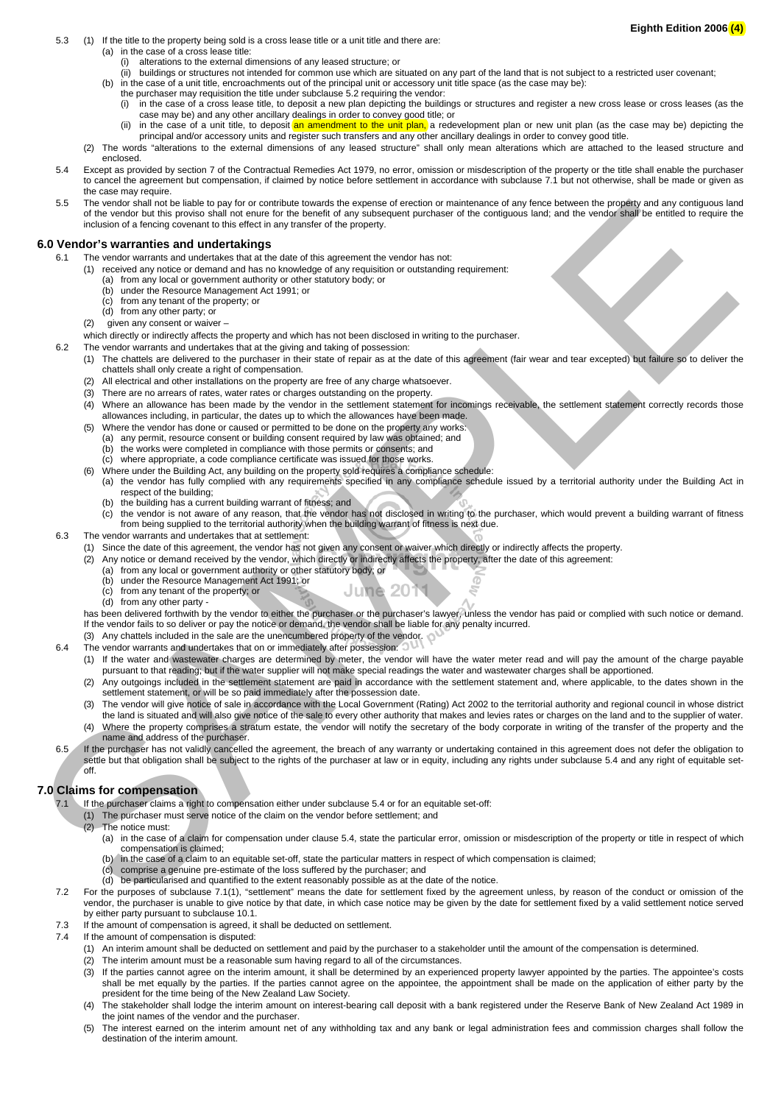- 5.3 (1) If the title to the property being sold is a cross lease title or a unit title and there are:
	- (a) in the case of a cross lease title: (i) alterations to the external dimensions of any leased structure; or
		- (ii) buildings or structures not intended for common use which are situated on any part of the land that is not subject to a restricted user covenant;
	- (b) in the case of a unit title, encroachments out of the principal unit or accessory unit title space (as the case may be):
		- the purchaser may requisition the title under subclause 5.2 requiring the vendor:
		- (i) in the case of a cross lease title, to deposit a new plan depicting the buildings or structures and register a new cross lease or cross leases (as the case may be) and any other ancillary dealings in order to convey good title; or
	- (ii) in the case of a unit title, to deposit an amendment to the unit plan, a redevelopment plan or new unit plan (as the case may be) depicting the principal and/or accessory units and register such transfers and any other ancillary dealings in order to convey good title.
	- (2) The words "alterations to the external dimensions of any leased structure" shall only mean alterations which are attached to the leased structure and enclosed.
- 5.4 Except as provided by section 7 of the Contractual Remedies Act 1979, no error, omission or misdescription of the property or the title shall enable the purchaser to cancel the agreement but compensation, if claimed by notice before settlement in accordance with subclause 7.1 but not otherwise, shall be made or given as the case may require.
- 5.5 The vendor shall not be liable to pay for or contribute towards the expense of erection or maintenance of any fence between the property and any contiguous land of the vendor but this proviso shall not enure for the benefit of any subsequent purchaser of the contiguous land; and the vendor shall be entitled to require the inclusion of a fencing covenant to this effect in any transfer of the property. 3. The second matrix is a state of the second matrix is a state of the second matrix is a state of the second matrix is a state of the second matrix is a state of the second matrix is a state of the second matrix is a sta

### **6.0 Vendor's warranties and undertakings**

- The vendor warrants and undertakes that at the date of this agreement the vendor has not:
	- (1) received any notice or demand and has no knowledge of any requisition or outstanding requirement:
		- (a) from any local or government authority or other statutory body; or
		- (b) under the Resource Management Act 1991; or
		- (c) from any tenant of the property; or
		- (d) from any other party; or
	- (2) given any consent or waiver –
- which directly or indirectly affects the property and which has not been disclosed in writing to the purchaser.
- 6.2 The vendor warrants and undertakes that at the giving and taking of possession:
	- (1) The chattels are delivered to the purchaser in their state of repair as at the date of this agreement (fair wear and tear excepted) but failure so to deliver the chattels shall only create a right of compensation.
		- (2) All electrical and other installations on the property are free of any charge whatsoever.
		- (3) There are no arrears of rates, water rates or charges outstanding on the property.
		- (4) Where an allowance has been made by the vendor in the settlement statement for incomings receivable, the settlement statement correctly records those allowances including, in particular, the dates up to which the allowances have been made.
		- (5) Where the vendor has done or caused or permitted to be done on the property any works:
			- (a) any permit, resource consent or building consent required by law was obtained; and
			- (b) the works were completed in compliance with those permits or consents; and
			- (c) where appropriate, a code compliance certificate was issued for those works.
		- (6) Where under the Building Act, any building on the property sold requires a compliance schedule: (a) the vendor has fully complied with any requirements specified in any compliance schedule issued by a territorial authority under the Building Act in respect of the building;
			- the building has a current building warrant of fitness; and
			- (c) the vendor is not aware of any reason, that the vendor has not disclosed in writing to the purchaser, which would prevent a building warrant of fitness from being supplied to the territorial authority when the building warrant of fitness is next due.
- 6.3 The vendor warrants and undertakes that at settlement:
	- (1) Since the date of this agreement, the vendor has not given any consent or waiver which directly or indirectly affects the property.
	- (2) Any notice or demand received by the vendor, which directly or indirectly affects the property, after the date of this agreement:
		- (a) from any local or government authority or other statutory body; or
		- (b) under the Resource Management Act 1991; or
		- (c) from any tenant of the property; or
		- (d) from any other party -

has been delivered forthwith by the vendor to either the purchaser or the purchaser's lawyer, unless the vendor has paid or complied with such notice or demand. If the vendor fails to so deliver or pay the notice or demand, the vendor shall be liable for any penalty incurred.

- (3) Any chattels included in the sale are the unencumbered property of the vendor.
- 6.4 The vendor warrants and undertakes that on or immediately after possession:
	- (1) If the water and wastewater charges are determined by meter, the vendor will have the water meter read and will pay the amount of the charge payable pursuant to that reading; but if the water supplier will not make special readings the water and wastewater charges shall be apportioned.
	- (2) Any outgoings included in the settlement statement are paid in accordance with the settlement statement and, where applicable, to the dates shown in the settlement statement, or will be so paid immediately after the possession date.
	- (3) The vendor will give notice of sale in accordance with the Local Government (Rating) Act 2002 to the territorial authority and regional council in whose district the land is situated and will also give notice of the sale to every other authority that makes and levies rates or charges on the land and to the supplier of water.
	- (4) Where the property comprises a stratum estate, the vendor will notify the secretary of the body corporate in writing of the transfer of the property and the name and address of the purchaser.
- 6.5 If the purchaser has not validly cancelled the agreement, the breach of any warranty or undertaking contained in this agreement does not defer the obligation to settle but that obligation shall be subject to the rights of the purchaser at law or in equity, including any rights under subclause 5.4 and any right of equitable setoff.

### **7.0 Claims for compensation**

- If the purchaser claims a right to compensation either under subclause 5.4 or for an equitable set-off:
- (1) The purchaser must serve notice of the claim on the vendor before settlement; and
	- (2) The notice must:
		- (a) in the case of a claim for compensation under clause 5.4, state the particular error, omission or misdescription of the property or title in respect of which compensation is claimed;
		- (b) in the case of a claim to an equitable set-off, state the particular matters in respect of which compensation is claimed;
		- (c) comprise a genuine pre-estimate of the loss suffered by the purchaser; and
		- (d) be particularised and quantified to the extent reasonably possible as at the date of the notice.
- 7.2 For the purposes of subclause 7.1(1), "settlement" means the date for settlement fixed by the agreement unless, by reason of the conduct or omission of the vendor, the purchaser is unable to give notice by that date, in which case notice may be given by the date for settlement fixed by a valid settlement notice served by either party pursuant to subclause 10.1.
- 7.3 If the amount of compensation is agreed, it shall be deducted on settlement.
- 7.4 If the amount of compensation is disputed:
	- (1) An interim amount shall be deducted on settlement and paid by the purchaser to a stakeholder until the amount of the compensation is determined.
	- (2) The interim amount must be a reasonable sum having regard to all of the circumstances.
	- (3) If the parties cannot agree on the interim amount, it shall be determined by an experienced property lawyer appointed by the parties. The appointee's costs shall be met equally by the parties. If the parties cannot agree on the appointee, the appointment shall be made on the application of either party by the president for the time being of the New Zealand Law Society.
	- (4) The stakeholder shall lodge the interim amount on interest-bearing call deposit with a bank registered under the Reserve Bank of New Zealand Act 1989 in the joint names of the vendor and the purchaser.
	- (5) The interest earned on the interim amount net of any withholding tax and any bank or legal administration fees and commission charges shall follow the destination of the interim amount.
- -
	-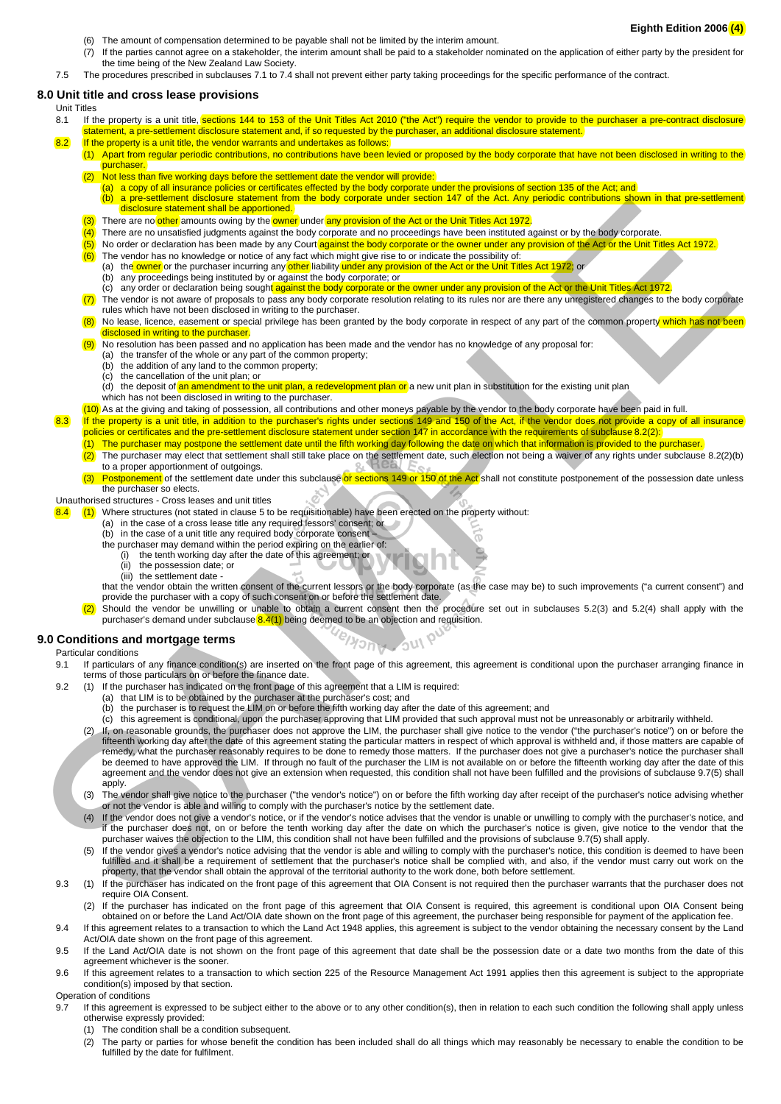- (6) The amount of compensation determined to be payable shall not be limited by the interim amount.
- (7) If the parties cannot agree on a stakeholder, the interim amount shall be paid to a stakeholder nominated on the application of either party by the president for the time being of the New Zealand Law Society.
- 7.5 The procedures prescribed in subclauses 7.1 to 7.4 shall not prevent either party taking proceedings for the specific performance of the contract.

#### **8.0 Unit title and cross lease provisions**

- Unit Titles
- 8.1 If the property is a unit title, sections 144 to 153 of the Unit Titles Act 2010 ("the Act") require the vendor to provide to the purchaser a pre-contract disclosure statement, a pre-settlement disclosure statement and, if so requested by the purchaser, an additional disclosure statement.
- 8.2 If the property is a unit title, the vendor warrants and undertakes as follows: (1) Apart from regular periodic contributions, no contributions have been levied or proposed by the body corporate that have not been disclosed in writing to the
	- purchaser. Not less than five working days before the settlement date the vendor will provide:
		- - (a) a copy of all insurance policies or certificates effected by the body corporate under the provisions of section 135 of the Act; and (b) a pre-settlement disclosure statement from the body corporate under section 147 of the Act. Any periodic contributions shown in that pre-settlement disclosure statement shall be apportioned.
	- (3) There are no other amounts owing by the owner under any provision of the Act or the Unit Titles Act 1972.
	- (4) There are no unsatisfied judgments against the body corporate and no proceedings have been instituted against or by the body corporate.
	- (5) No order or declaration has been made by any Court against the body corporate or the owner under any provision of the Act or the Unit Titles Act 1972.
	- The vendor has no knowledge or notice of any fact which might give rise to or indicate the possibility of: (a) the owner or the purchaser incurring any other liability under any provision of the Act or the Unit Titles Act 1972; or
		- (b) any proceedings being instituted by or against the body corporate; or
		- (c) any order or declaration being sought against the body corporate or the owner under any provision of the Act or the Unit Titles Act 1972.
	- (7) The vendor is not aware of proposals to pass any body corporate resolution relating to its rules nor are there any unregistered changes to the body corporate rules which have not been disclosed in writing to the purchaser.
	- (8) No lease, licence, easement or special privilege has been granted by the body corporate in respect of any part of the common property which has not been disclosed in writing to the purchaser.
	- (9) No resolution has been passed and no application has been made and the vendor has no knowledge of any proposal for:
		- (a) the transfer of the whole or any part of the common property;
		- (b) the addition of any land to the common property; (c) the cancellation of the unit plan; or
		-
		- $(d)$  the deposit of an amendment to the unit plan, a redevelopment plan or a new unit plan in substitution for the existing unit plan
		- which has not been disclosed in writing to the purchaser.
	- (10) As at the giving and taking of possession, all contributions and other moneys payable by the vendor to the body corporate have been paid in full.
- 8.3 If the property is a unit title, in addition to the purchaser's rights under sections 149 and 150 of the Act, if the vendor does not provide a copy of all insurance policies or certificates and the pre-settlement disclosure statement under section 147 in accordance with the requirements of subclause 8.2(2):
	- (1) The purchaser may postpone the settlement date until the fifth working day following the date on which that information is provided to the purchaser.
	- (2) The purchaser may elect that settlement shall still take place on the settlement date, such election not being a waiver of any rights under subclause 8.2(2)(b)
		- to a proper apportionment of outgoings.
	- Postponement of the settlement date under this subclause or sections 149 or 150 of the Act shall not constitute postponement of the possession date unless the purchaser so elects.
- Unauthorised structures Cross leases and unit titles
- $8.4$  (1) Where structures (not stated in clause 5 to be requisitionable) have been erected on the property without:
	- (a) in the case of a cross lease title any required lessors' consent; or
	- (b) in the case of a unit title any required body corporate consent -
	- the purchaser may demand within the period expiring on the earlier of:
		- (i) the tenth working day after the date of this agreement; or
		- (ii) the possession date; or (iii) the settlement date -
	- that the vendor obtain the written consent of the current lessors or the body corporate (as the case may be) to such improvements ("a current consent") and provide the purchaser with a copy of such consent on or before the settlement date.
	- (2) Should the vendor be unwilling or unable to obtain a current consent then the procedure set out in subclauses 5.2(3) and 5.2(4) shall apply with the purchaser's demand under subclause 8.4(1) being deemed to be an objection and requisition.

#### **9.0 Conditions and mortgage terms**

#### Particular conditions

- 9.1 If particulars of any finance condition(s) are inserted on the front page of this agreement, this agreement is conditional upon the purchaser arranging finance in terms of those particulars on or before the finance date.
	-
- 9.2 (1) If the purchaser has indicated on the front page of this agreement that a LIM is required: (a) that LIM is to be obtained by the purchaser at the purchaser's cost; and
	- (b) the purchaser is to request the LIM on or before the fifth working day after the date of this agreement; and
	- (c) this agreement is conditional, upon the purchaser approving that LIM provided that such approval must not be unreasonably or arbitrarily withheld.
- If, on reasonable grounds, the purchaser does not approve the LIM, the purchaser shall give notice to the vendor ("the purchaser's notice") on or before the fifteenth working day after the date of this agreement stating the particular matters in respect of which approval is withheld and, if those matters are capable of remedy, what the purchaser reasonably requires to be done to remedy those matters. If the purchaser does not give a purchaser's notice the purchaser shall be deemed to have approved the LIM. If through no fault of the purchaser the LIM is not available on or before the fifteenth working day after the date of this agreement and the vendor does not give an extension when requested, this condition shall not have been fulfilled and the provisions of subclause 9.7(5) shall apply. SAMPLE AND ARREST STRUCTURE IN CONTINUES CONTINUES CONTINUES CONTINUES CONTINUES CONTINUES CONTINUES CONTINUES CONTINUES CONTINUES CONTINUES CONTINUES CONTINUES CONTINUES CONTINUES CONTINUES CONTINUES CONTINUES CONTINUES
	- (3) The vendor shall give notice to the purchaser ("the vendor's notice") on or before the fifth working day after receipt of the purchaser's notice advising whether or not the vendor is able and willing to comply with the purchaser's notice by the settlement date.
	- (4) If the vendor does not give a vendor's notice, or if the vendor's notice advises that the vendor is unable or unwilling to comply with the purchaser's notice, and if the purchaser does not, on or before the tenth working day after the date on which the purchaser's notice is given, give notice to the vendor that the purchaser waives the objection to the LIM, this condition shall not have been fulfilled and the provisions of subclause 9.7(5) shall apply.
	- (5) If the vendor gives a vendor's notice advising that the vendor is able and willing to comply with the purchaser's notice, this condition is deemed to have been fulfilled and it shall be a requirement of settlement that the purchaser's notice shall be complied with, and also, if the vendor must carry out work on the property, that the vendor shall obtain the approval of the territorial authority to the work done, both before settlement.
	- 9.3 (1) If the purchaser has indicated on the front page of this agreement that OIA Consent is not required then the purchaser warrants that the purchaser does not require OIA Consent.
		- (2) If the purchaser has indicated on the front page of this agreement that OIA Consent is required, this agreement is conditional upon OIA Consent being obtained on or before the Land Act/OIA date shown on the front page of this agreement, the purchaser being responsible for payment of the application fee.
	- 9.4 If this agreement relates to a transaction to which the Land Act 1948 applies, this agreement is subject to the vendor obtaining the necessary consent by the Land Act/OIA date shown on the front page of this agreement.
	- 9.5 If the Land Act/OIA date is not shown on the front page of this agreement that date shall be the possession date or a date two months from the date of this agreement whichever is the sooner.
	- 9.6 If this agreement relates to a transaction to which section 225 of the Resource Management Act 1991 applies then this agreement is subject to the appropriate condition(s) imposed by that section.
	- Operation of conditions
	- 9.7 If this agreement is expressed to be subject either to the above or to any other condition(s), then in relation to each such condition the following shall apply unless otherwise expressly provided:
		- (1) The condition shall be a condition subsequent.
		- (2) The party or parties for whose benefit the condition has been included shall do all things which may reasonably be necessary to enable the condition to be fulfilled by the date for fulfilment.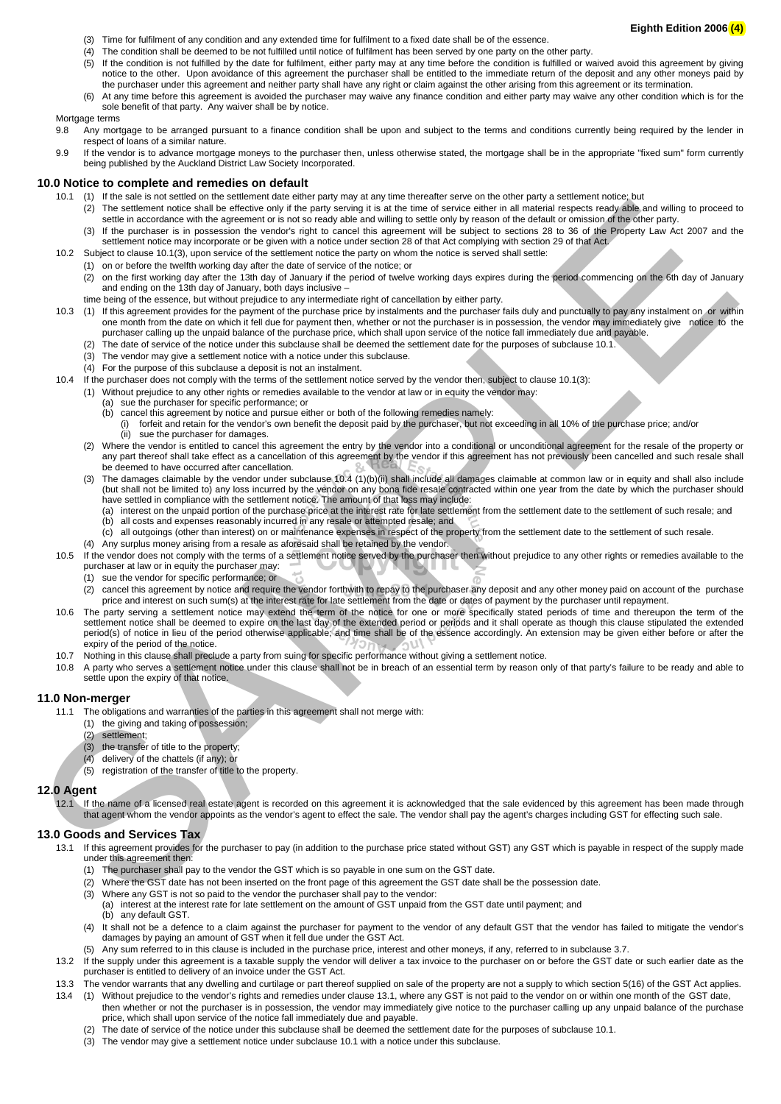- (3) Time for fulfilment of any condition and any extended time for fulfilment to a fixed date shall be of the essence.
- (4) The condition shall be deemed to be not fulfilled until notice of fulfilment has been served by one party on the other party.
- (5) If the condition is not fulfilled by the date for fulfilment, either party may at any time before the condition is fulfilled or waived avoid this agreement by giving notice to the other. Upon avoidance of this agreement the purchaser shall be entitled to the immediate return of the deposit and any other moneys paid by the purchaser under this agreement and neither party shall have any right or claim against the other arising from this agreement or its termination.
- (6) At any time before this agreement is avoided the purchaser may waive any finance condition and either party may waive any other condition which is for the sole benefit of that party. Any waiver shall be by notice.

#### Mortgage terms

- 9.8 Any mortgage to be arranged pursuant to a finance condition shall be upon and subject to the terms and conditions currently being required by the lender in respect of loans of a similar nature.
- 9.9 If the vendor is to advance mortgage moneys to the purchaser then, unless otherwise stated, the mortgage shall be in the appropriate "fixed sum" form currently being published by the Auckland District Law Society Incorporated.

#### **10.0 Notice to complete and remedies on default**

- 10.1 (1) If the sale is not settled on the settlement date either party may at any time thereafter serve on the other party a settlement notice; but
	- (2) The settlement notice shall be effective only if the party serving it is at the time of service either in all material respects ready able and willing to proceed to settle in accordance with the agreement or is not so ready able and willing to settle only by reason of the default or omission of the other party.
	- (3) If the purchaser is in possession the vendor's right to cancel this agreement will be subject to sections 28 to 36 of the Property Law Act 2007 and the settlement notice may incorporate or be given with a notice under section 28 of that Act complying with section 29 of that Act.
- 10.2 Subject to clause 10.1(3), upon service of the settlement notice the party on whom the notice is served shall settle:
	- (1) on or before the twelfth working day after the date of service of the notice; or
		- (2) on the first working day after the 13th day of January if the period of twelve working days expires during the period commencing on the 6th day of January and ending on the 13th day of January, both days inclusive –
	- time being of the essence, but without prejudice to any intermediate right of cancellation by either party.
- 10.3 (1) If this agreement provides for the payment of the purchase price by instalments and the purchaser fails duly and punctually to pay any instalment on or within one month from the date on which it fell due for payment then, whether or not the purchaser is in possession, the vendor may immediately give notice to the purchaser calling up the unpaid balance of the purchase price, which shall upon service of the notice fall immediately due and payable.
	- (2) The date of service of the notice under this subclause shall be deemed the settlement date for the purposes of subclause 10.1.
	- (3) The vendor may give a settlement notice with a notice under this subclause.
	- (4) For the purpose of this subclause a deposit is not an instalment.
- 10.4 If the purchaser does not comply with the terms of the settlement notice served by the vendor then, subject to clause 10.1(3):
	- (1) Without prejudice to any other rights or remedies available to the vendor at law or in equity the vendor may:
		- (a) sue the purchaser for specific performance; or
			- (b) cancel this agreement by notice and pursue either or both of the following remedies namely:
		- (i) forfeit and retain for the vendor's own benefit the deposit paid by the purchaser, but not exceeding in all 10% of the purchase price; and/or (ii) sue the purchaser for damages.
	- (2) Where the vendor is entitled to cancel this agreement the entry by the vendor into a conditional or unconditional agreement for the resale of the property or any part thereof shall take effect as a cancellation of this agreement by the vendor if this agreement has not previously been cancelled and such resale shall be deemed to have occurred after cancellation.
	- The damages claimable by the vendor under subclause  $10.4$  (1)(b)(ii) shall include all damages claimable at common law or in equity and shall also include (but shall not be limited to) any loss incurred by the vendor on any bona fide resale contracted within one year from the date by which the purchaser should have settled in compliance with the settlement notice. The amount of that loss may include:
		- (a) interest on the unpaid portion of the purchase price at the interest rate for late settlement from the settlement date to the settlement of such resale; and
		- all costs and expenses reasonably incurred in any resale or attempted resale; and
		- (c) all outgoings (other than interest) on or maintenance expenses in respect of the property from the settlement date to the settlement of such resale.
	- (4) Any surplus money arising from a resale as aforesaid shall be retained by the vendor.
- 10.5 If the vendor does not comply with the terms of a settlement notice served by the purchaser then without prejudice to any other rights or remedies available to the purchaser at law or in equity the purchaser may:
	- (1) sue the vendor for specific performance; or
	- (2) cancel this agreement by notice and require the vendor forthwith to repay to the purchaser any deposit and any other money paid on account of the purchase price and interest on such sum(s) at the interest rate for late settlement from the date or dates of payment by the purchaser until repayment.
- 10.6 The party serving a settlement notice may extend the term of the notice for one or more specifically stated periods of time and thereupon the term of the settlement notice shall be deemed to expire on the last day of the extended period or periods and it shall operate as though this clause stipulated the extended period(s) of notice in lieu of the period otherwise applicable; and time shall be of the essence accordingly. An extension may be given either before or after the expiry of the period of the notice. The matrix and the matrix and the state of the state of the state of the state of the state of the state of the state of the state of the state of the state of the state of the state of the state of the state of the state
	- 10.7 Nothing in this clause shall preclude a party from suing for specific performance without giving a settlement notice.
	- 10.8 A party who serves a settlement notice under this clause shall not be in breach of an essential term by reason only of that party's failure to be ready and able to settle upon the expiry of that notice.

#### **11.0 Non-merger**

- 11.1 The obligations and warranties of the parties in this agreement shall not merge with:
	- (1) the giving and taking of possession;
	- (2) settlement;
	- (3) the transfer of title to the property;
	- (4) delivery of the chattels (if any); or
	- (5) registration of the transfer of title to the property.

#### **12.0 Agent**

12.1 If the name of a licensed real estate agent is recorded on this agreement it is acknowledged that the sale evidenced by this agreement has been made through that agent whom the vendor appoints as the vendor's agent to effect the sale. The vendor shall pay the agent's charges including GST for effecting such sale.

#### **13.0 Goods and Services Tax**

- 13.1 If this agreement provides for the purchaser to pay (in addition to the purchase price stated without GST) any GST which is payable in respect of the supply made under this agreement then:
	- (1) The purchaser shall pay to the vendor the GST which is so payable in one sum on the GST date.
	- (2) Where the GST date has not been inserted on the front page of this agreement the GST date shall be the possession date.
	- (3) Where any GST is not so paid to the vendor the purchaser shall pay to the vendor:
	- (a) interest at the interest rate for late settlement on the amount of GST unpaid from the GST date until payment; and
	- (b) any default GST. (4) It shall not be a defence to a claim against the purchaser for payment to the vendor of any default GST that the vendor has failed to mitigate the vendor's damages by paying an amount of GST when it fell due under the GST Act.
	- (5) Any sum referred to in this clause is included in the purchase price, interest and other moneys, if any, referred to in subclause 3.7.
- 13.2 If the supply under this agreement is a taxable supply the vendor will deliver a tax invoice to the purchaser on or before the GST date or such earlier date as the purchaser is entitled to delivery of an invoice under the GST Act.
- 13.3 The vendor warrants that any dwelling and curtilage or part thereof supplied on sale of the property are not a supply to which section 5(16) of the GST Act applies. 13.4 (1) Without prejudice to the vendor's rights and remedies under clause 13.1, where any GST is not paid to the vendor on or within one month of the GST date,
	- then whether or not the purchaser is in possession, the vendor may immediately give notice to the purchaser calling up any unpaid balance of the purchase price, which shall upon service of the notice fall immediately due and payable.
	- (2) The date of service of the notice under this subclause shall be deemed the settlement date for the purposes of subclause 10.1.
	- (3) The vendor may give a settlement notice under subclause 10.1 with a notice under this subclause.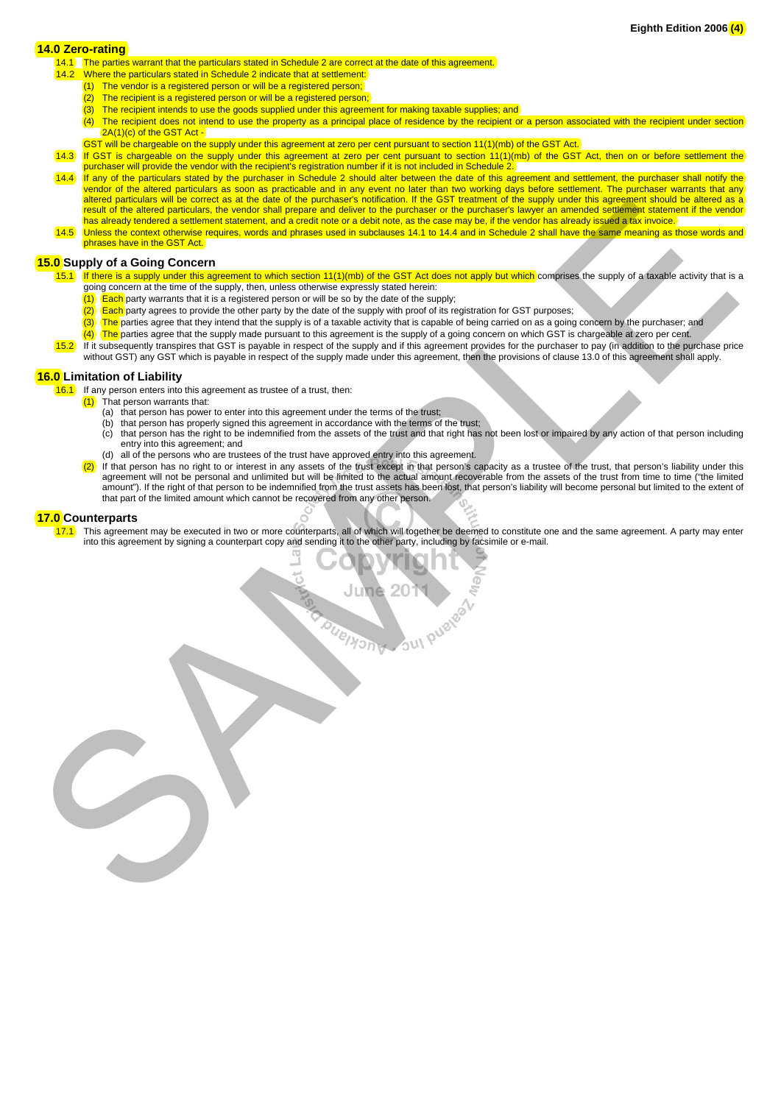#### **14.0 Zero-rating**

14.1 The parties warrant that the particulars stated in Schedule 2 are correct at the date of this agreement.

- Where the particulars stated in Schedule 2 indicate that at settlement:
- $(1)$  The vendor is a registered person or will be a registered person;
- $(2)$  The recipient is a registered person or will be a registered person;
- (3) The recipient intends to use the goods supplied under this agreement for making taxable supplies; and
- $(4)$  The recipient does not intend to use the property as a principal place of residence by the recipient or a person associated with the recipient under section 2A(1)(c) of the GST Act -
- GST will be chargeable on the supply under this agreement at zero per cent pursuant to section 11(1)(mb) of the GST Act.
- 14.3 If GST is chargeable on the supply under this agreement at zero per cent pursuant to section 11(1)(mb) of the GST Act, then on or before settlement the purchaser will provide the vendor with the recipient's registration number if it is not included in Schedule 2.

14.4 If any of the particulars stated by the purchaser in Schedule 2 should alter between the date of this agreement and settlement, the purchaser shall notify the vendor of the altered particulars as soon as practicable and in any event no later than two working days before settlement. The purchaser warrants that any altered particulars will be correct as at the date of the purchaser's notification. If the GST treatment of the supply under this agreement should be altered as a result of the altered particulars, the vendor shall prepare and deliver to the purchaser or the purchaser's lawyer an amended settlement statement if the vendor has already tendered a settlement statement, and a credit note or a debit note, as the case may be, if the vendor has already issued a tax invoice.

14.5 Unless the context otherwise requires, words and phrases used in subclauses 14.1 to 14.4 and in Schedule 2 shall have the same meaning as those words and phrases have in the GST Act.

#### **15.0 Supply of a Going Concern**

- 15.1 If there is a supply under this agreement to which section 11(1)(mb) of the GST Act does not apply but which comprises the supply of a taxable activity that is a going concern at the time of the supply, then, unless otherwise expressly stated herein:
	- $(1)$  **Each** party warrants that it is a registered person or will be so by the date of the supply;
	- $(2)$  Each party agrees to provide the other party by the date of the supply with proof of its registration for GST purposes;
	- (3) The parties agree that they intend that the supply is of a taxable activity that is capable of being carried on as a going concern by the purchaser; and
	- $(4)$  The parties agree that the supply made pursuant to this agreement is the supply of a going concern on which GST is chargeable at zero per cent.
- 15.2 If it subsequently transpires that GST is payable in respect of the supply and if this agreement provides for the purchaser to pay (in addition to the purchase price without GST) any GST which is payable in respect of the supply made under this agreement, then the provisions of clause 13.0 of this agreement shall apply.

#### **16.0 Limitation of Liability**

16.1 If any person enters into this agreement as trustee of a trust, then:

- $(1)$  That person warrants that:
	- (a) that person has power to enter into this agreement under the terms of the trust;
	- (b) that person has properly signed this agreement in accordance with the terms of the trust; (c) that person has the right to be indemnified from the assets of the trust and that right has not been lost or impaired by any action of that person including
	- entry into this agreement; and
	- (d) all of the persons who are trustees of the trust have approved entry into this agreement.
- (2) If that person has no right to or interest in any assets of the trust except in that person's capacity as a trustee of the trust, that person's liability under this agreement will not be personal and unlimited but will be limited to the actual amount recoverable from the assets of the trust from time to time ("the limited amount"). If the right of that person to be indemnified from the trust assets has been lost, that person's liability will become personal but limited to the extent of that part of the limited amount which cannot be recovered from any other person. SAMPLE

#### **17.0 Counterparts**

17.1 This agreement may be executed in two or more counterparts, all of which will together be deemed to constitute one and the same agreement. A party may enter into this agreement by signing a counterpart copy and sending it to the other party, including by facsimile or e-mail.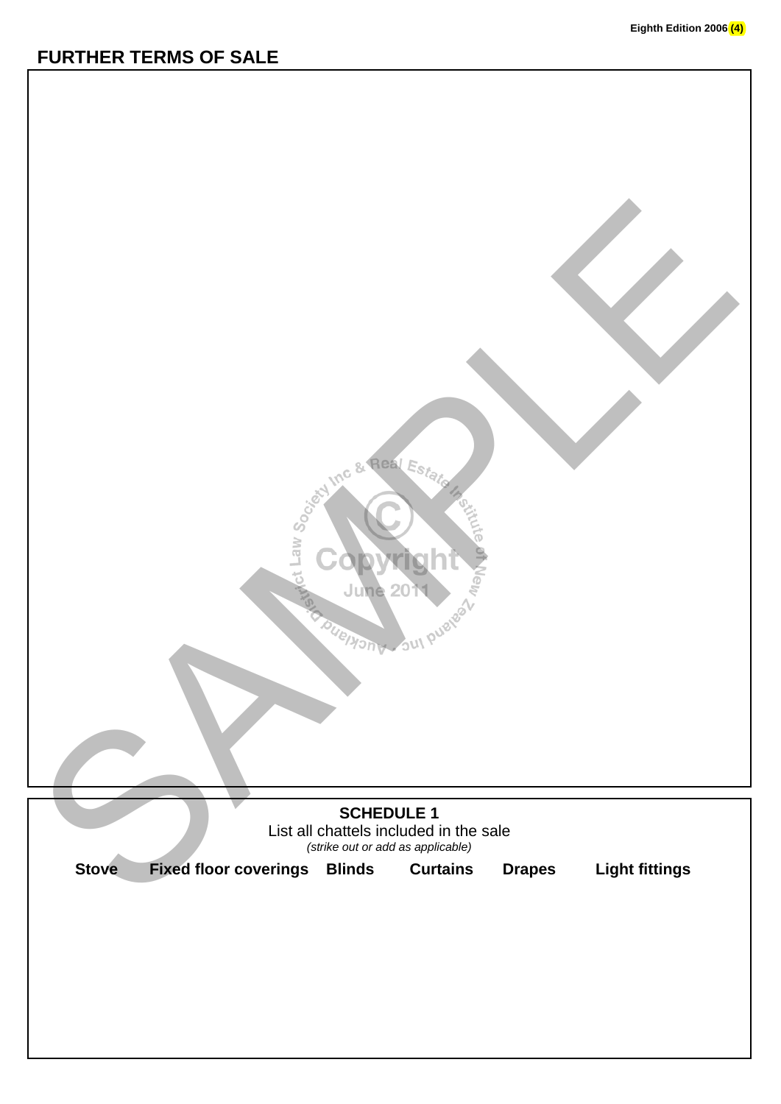# **FURTHER TERMS OF SALE**

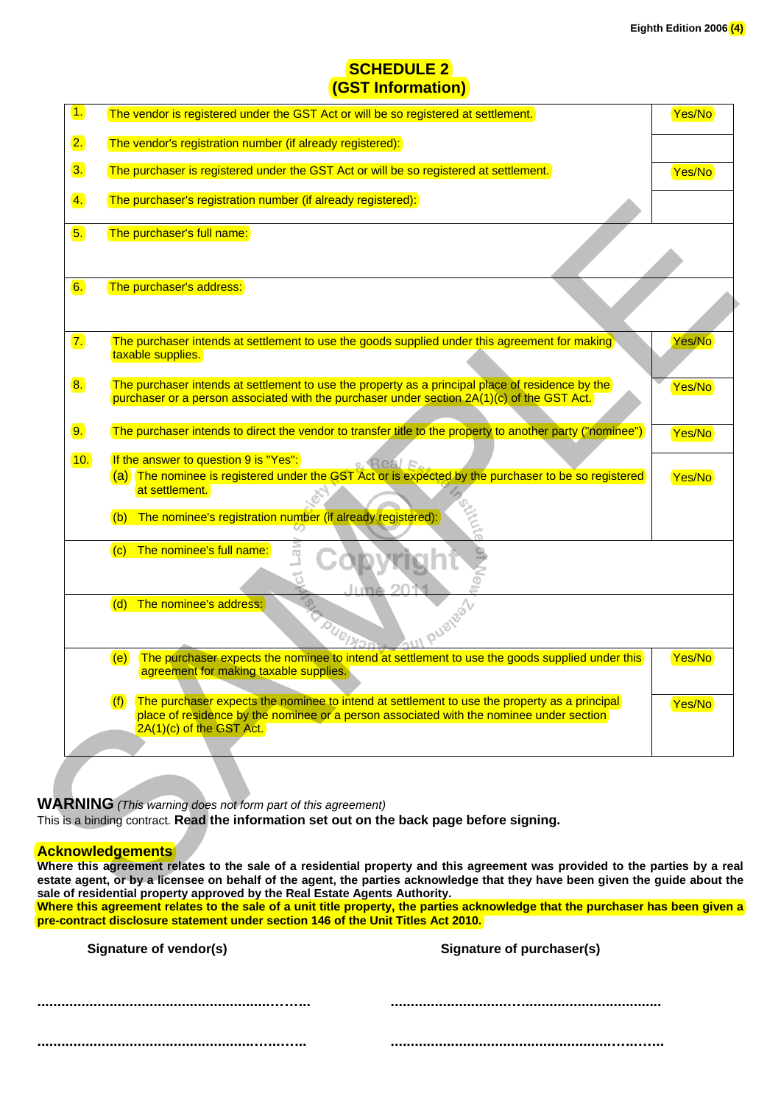# **SCHEDULE 2 (GST Information)**

| $\overline{\mathbf{1}}$ . | The vendor is registered under the GST Act or will be so registered at settlement.                                                                                                                                                                                                    | Yes/No |  |
|---------------------------|---------------------------------------------------------------------------------------------------------------------------------------------------------------------------------------------------------------------------------------------------------------------------------------|--------|--|
| $\overline{2.}$           | The vendor's registration number (if already registered):                                                                                                                                                                                                                             |        |  |
| 3.                        | The purchaser is registered under the GST Act or will be so registered at settlement.                                                                                                                                                                                                 | Yes/No |  |
| $\overline{4}$ .          | The purchaser's registration number (if already registered):                                                                                                                                                                                                                          |        |  |
| 5.                        | The purchaser's full name:                                                                                                                                                                                                                                                            |        |  |
|                           |                                                                                                                                                                                                                                                                                       |        |  |
| 6.                        | The purchaser's address:                                                                                                                                                                                                                                                              |        |  |
| $\overline{7}$ .          | The purchaser intends at settlement to use the goods supplied under this agreement for making<br>taxable supplies.                                                                                                                                                                    | Yes/No |  |
| 8.                        | The purchaser intends at settlement to use the property as a principal place of residence by the<br>purchaser or a person associated with the purchaser under section 2A(1)(c) of the GST Act.                                                                                        | Yes/No |  |
| 9.                        | The purchaser intends to direct the vendor to transfer title to the property to another party ("nominee")                                                                                                                                                                             | Yes/No |  |
| 10.                       | If the answer to question 9 is "Yes":<br>2 Real F.                                                                                                                                                                                                                                    |        |  |
|                           | (a) The nominee is registered under the GST Act or is expected by the purchaser to be so registered<br>at settlement.                                                                                                                                                                 | Yes/No |  |
|                           | The nominee's registration number (if already registered):<br>(b)                                                                                                                                                                                                                     |        |  |
|                           | ns<br>≌<br>The nominee's full name:<br>(c)<br>$\vec{O}$                                                                                                                                                                                                                               |        |  |
|                           | The nominee's address:<br>(d)<br>DUBINO                                                                                                                                                                                                                                               |        |  |
|                           | The purchaser expects the nominee to intend at settlement to use the goods supplied under this<br>(e)<br>agreement for making taxable supplies.                                                                                                                                       | Yes/No |  |
|                           | The purchaser expects the nominee to intend at settlement to use the property as a principal<br>(f)<br>place of residence by the nominee or a person associated with the nominee under section<br>2A(1)(c) of the GST Act.                                                            | Yes/No |  |
|                           |                                                                                                                                                                                                                                                                                       |        |  |
|                           | <b>WARNING</b> (This warning does not form part of this agreement)<br>This is a binding contract. Read the information set out on the back page before signing.                                                                                                                       |        |  |
|                           |                                                                                                                                                                                                                                                                                       |        |  |
|                           | <b>Acknowledgements</b><br>Where this agreement relates to the sale of a residential property and this agreement was provided to the parties by a rea<br>estate agent, or by a licensee on behalf of the agent, the parties acknowledge that they have been given the guide about the |        |  |

**Where this agreement relates to the sale of a residential property and this agreement was provided to the parties by a real estate agent, or by a licensee on behalf of the agent, the parties acknowledge that they have been given the guide about the sale of residential property approved by the Real Estate Agents Authority. Where this agreement relates to the sale of a unit title property, the parties acknowledge that the purchaser has been given a** 

**pre-contract disclosure statement under section 146 of the Unit Titles Act 2010.** 

Signature of vendor(s) **Signature of purchaser(s)**